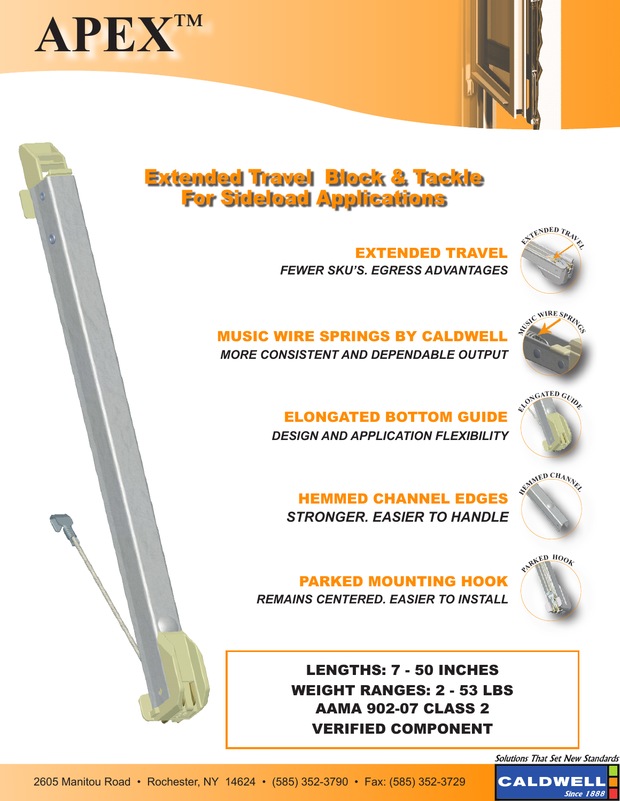



# Extended Travel Block & Tackle For Sideload Applications

EXTENDED TRAVEL *FEWER SKU'S. EGRESS ADVANTAGES*



### MUSIC WIRE SPRINGS BY CALDWELL *MORE CONSISTENT AND DEPENDABLE OUTPUT*



ELONGATED BOTTOM GUIDE *DESIGN AND APPLICATION FLEXIBILITY*



HEMMED CHANNEL EDGES *STRONGER. EASIER TO HANDLE*



**PARKE<sup>D</sup> <sup>H</sup>OO<sup>K</sup>**

PARKED MOUNTING HOOK

*REMAINS CENTERED. EASIER TO INSTALL*



Solutions That Set New Standards

**Since 1888** 

**CALDWELI**